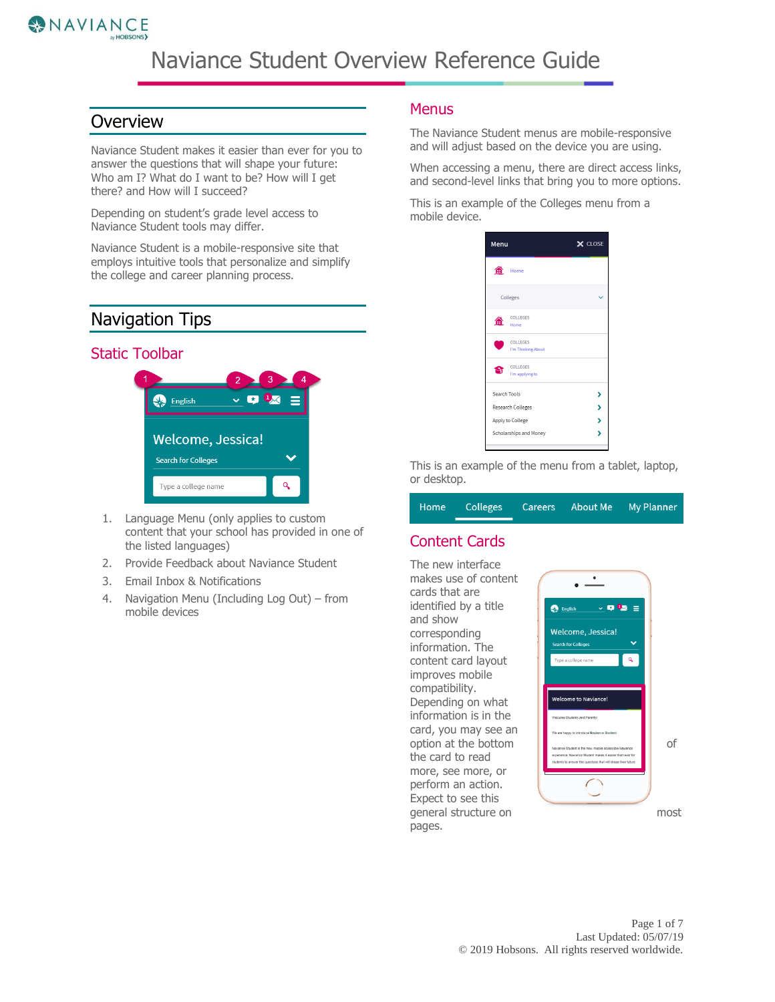

# Naviance Student Overview Reference Guide

### **Overview**

Naviance Student makes it easier than ever for you to answer the questions that will shape your future: Who am I? What do I want to be? How will I get there? and How will I succeed?

Depending on student's grade level access to Naviance Student tools may differ.

Naviance Student is a mobile-responsive site that employs intuitive tools that personalize and simplify the college and career planning process.

## Navigation Tips

### Static Toolbar



- 1. Language Menu (only applies to custom content that your school has provided in one of the listed languages)
- 2. Provide Feedback about Naviance Student
- 3. Email Inbox & Notifications
- 4. Navigation Menu (Including Log Out) from mobile devices

### **Menus**

The Naviance Student menus are mobile-responsive and will adjust based on the device you are using.

When accessing a menu, there are direct access links, and second-level links that bring you to more options.

This is an example of the Colleges menu from a mobile device.



This is an example of the menu from a tablet, laptop, or desktop.

Home **Colleges** Careers **About Me My Planner** 

### Content Cards

The new interface makes use of content cards that are identified by a title and show corresponding information. The content card layout improves mobile compatibility. Depending on what information is in the card, you may see an the card to read more, see more, or perform an action. Expect to see this pages.

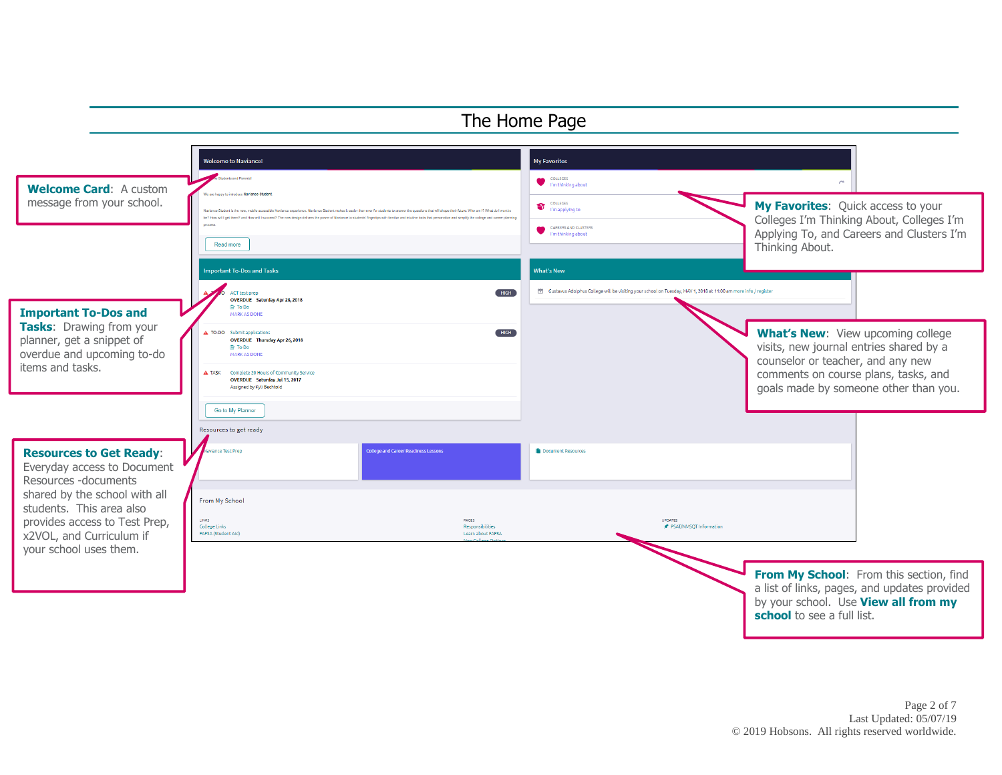#### The Home Page Welcome to Naviance! My Favorites counses<br>
I'm thinking about **Welcome Card**: A custom message from your school. **Interactive access to your school.** The message media thankance acquiredine. New interactive access to your message thankance our content interactive access to your message thankance our content Colleges I'm Thinking About, Colleges I'm CAREERS AND CLUSTERS Applying To, and Careers and Clusters I'm I'm thinking about Read more Thinking About. mportant To-Dos and Tasks **What's New** ACT test prep  $HIGH$ Gustavus Adolphus College will be visiting your school on Tuesday, MAY 1, 2018 at 11:00 am more info / register OVERDUE Saturday Apr 28, 2018 ₿ To-Do **Important To-Dos and**  MARK AS DONE **Tasks**: Drawing from your **What's New:** View upcoming college A TO-DO Submit applications  $HIGH$ planner, get a snippet of OVERDUE Thursday Apr 26, 2018 visits, new journal entries shared by a **B** To-Do overdue and upcoming to-do MARK AS DONE counselor or teacher, and any new items and tasks.  $\triangle$  TASK Complete 20 Hours of Community Service comments on course plans, tasks, and OVERDUE Saturday Jul 15, 2017 Assigned by Kyli Bechtolo goals made by someone other than you. Go to My Planner Resources to get ready **Resources to Get Ready**: ice Test Prep .<br>Inliege and Career Readiness Lesson Document Resources Everyday access to Document Resources -documents shared by the school with all From My School students. This area also UPDATES<br><del></del> PSAT/NMSQT Information provides access to Test Prep, LINKS PAGES College Links Responsibilities x2VOL, and Curriculum if FAFSA (Student Aid) Learn about EAESA your school uses them. **From My School:** From this section, find a list of links, pages, and updates provided by your school. Use **View all from my school** to see a full list.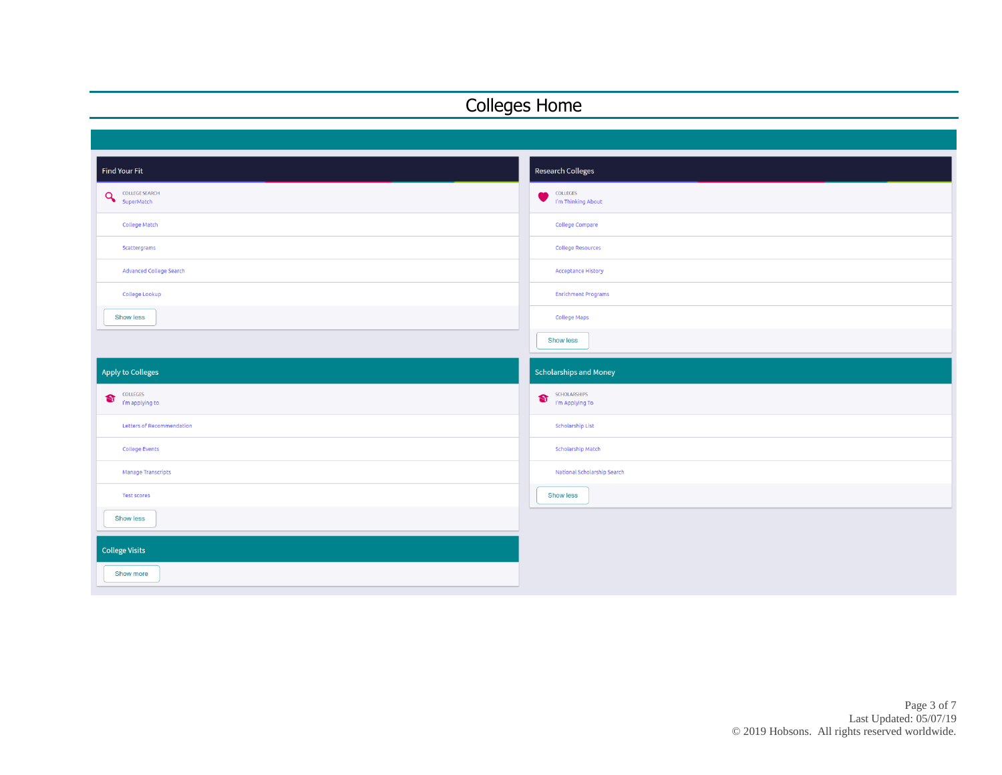# Colleges Home

| <b>Find Your Fit</b>                                | Research Colleges                            |
|-----------------------------------------------------|----------------------------------------------|
| <b>COLLEGE SEARCH</b><br>$\mathbf{Q}$<br>SuperMatch | COLLEGES<br>$\bullet$<br>I'm Thinking About  |
| <b>College Match</b>                                | <b>College Compare</b>                       |
| Scattergrams                                        | College Resources                            |
| Advanced College Search                             | <b>Acceptance History</b>                    |
| College Lookup                                      | <b>Enrichment Programs</b>                   |
| Show less                                           | <b>College Maps</b>                          |
|                                                     | Show less                                    |
| <b>Apply to Colleges</b>                            |                                              |
|                                                     | <b>Scholarships and Money</b>                |
| COLLEGES<br>$\bullet$<br>I'm applying to            | SCHOLARSHIPS<br>$\bullet$<br>I'm Applying To |
| Letters of Recommendation                           | <b>Scholarship List</b>                      |
| <b>College Events</b>                               | Scholarship Match                            |
| Manage Transcripts                                  | National Scholarship Search                  |
| <b>Test scores</b>                                  | Show less                                    |
| <b>Show less</b>                                    |                                              |
| <b>College Visits</b>                               |                                              |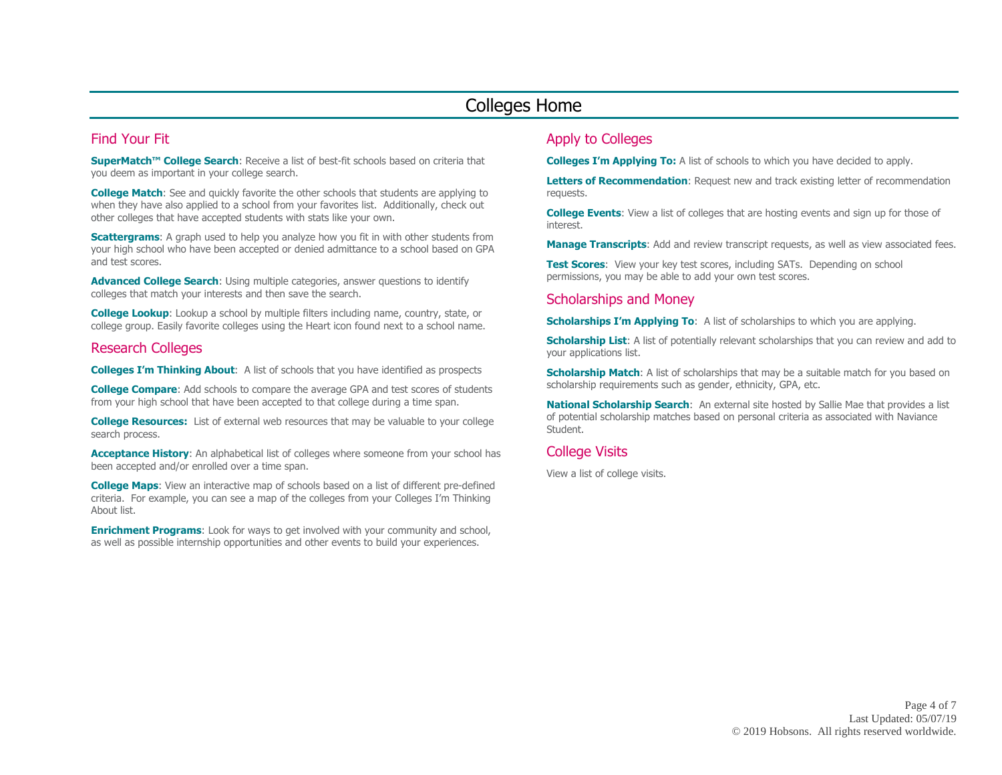### Colleges Home

### Find Your Fit

**SuperMatch™ College Search**: Receive a list of best-fit schools based on criteria that you deem as important in your college search.

**College Match:** See and quickly favorite the other schools that students are applying to when they have also applied to a school from your favorites list. Additionally, check out other colleges that have accepted students with stats like your own.

**Scattergrams**: A graph used to help you analyze how you fit in with other students from your high school who have been accepted or denied admittance to a school based on GPA and test scores.

**Advanced College Search**: Using multiple categories, answer questions to identify colleges that match your interests and then save the search.

**College Lookup**: Lookup a school by multiple filters including name, country, state, or college group. Easily favorite colleges using the Heart icon found next to a school name.

#### Research Colleges

**Colleges I'm Thinking About**: A list of schools that you have identified as prospects

**College Compare**: Add schools to compare the average GPA and test scores of students from your high school that have been accepted to that college during a time span.

**College Resources:** List of external web resources that may be valuable to your college search process.

**Acceptance History:** An alphabetical list of colleges where someone from your school has been accepted and/or enrolled over a time span.

**College Maps**: View an interactive map of schools based on a list of different pre-defined criteria. For example, you can see a map of the colleges from your Colleges I'm Thinking About list.

**Enrichment Programs**: Look for ways to get involved with your community and school, as well as possible internship opportunities and other events to build your experiences.

### Apply to Colleges

**Colleges I'm Applying To:** A list of schools to which you have decided to apply.

**Letters of Recommendation**: Request new and track existing letter of recommendation requests.

**College Events**: View a list of colleges that are hosting events and sign up for those of interest.

**Manage Transcripts**: Add and review transcript requests, as well as view associated fees.

**Test Scores:** View your key test scores, including SATs. Depending on school permissions, you may be able to add your own test scores.

#### Scholarships and Money

**Scholarships I'm Applying To:** A list of scholarships to which you are applying.

**Scholarship List:** A list of potentially relevant scholarships that you can review and add to your applications list.

**Scholarship Match:** A list of scholarships that may be a suitable match for you based on scholarship requirements such as gender, ethnicity, GPA, etc.

**National Scholarship Search**: An external site hosted by Sallie Mae that provides a list of potential scholarship matches based on personal criteria as associated with Naviance Student.

#### College Visits

View a list of college visits.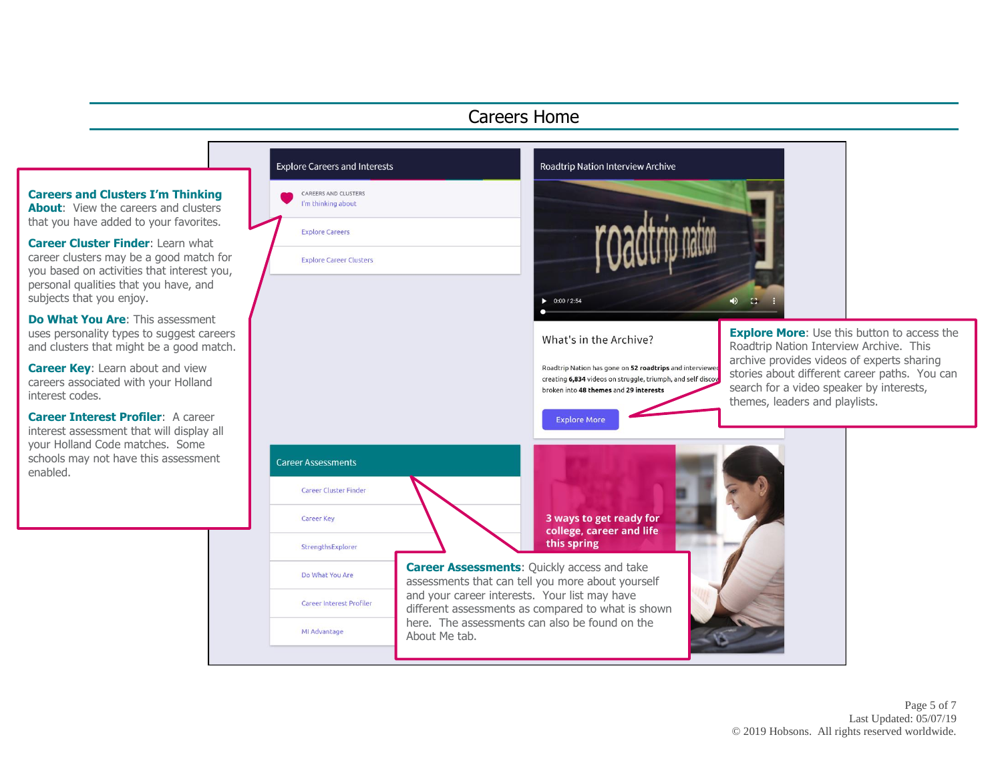## Careers Home

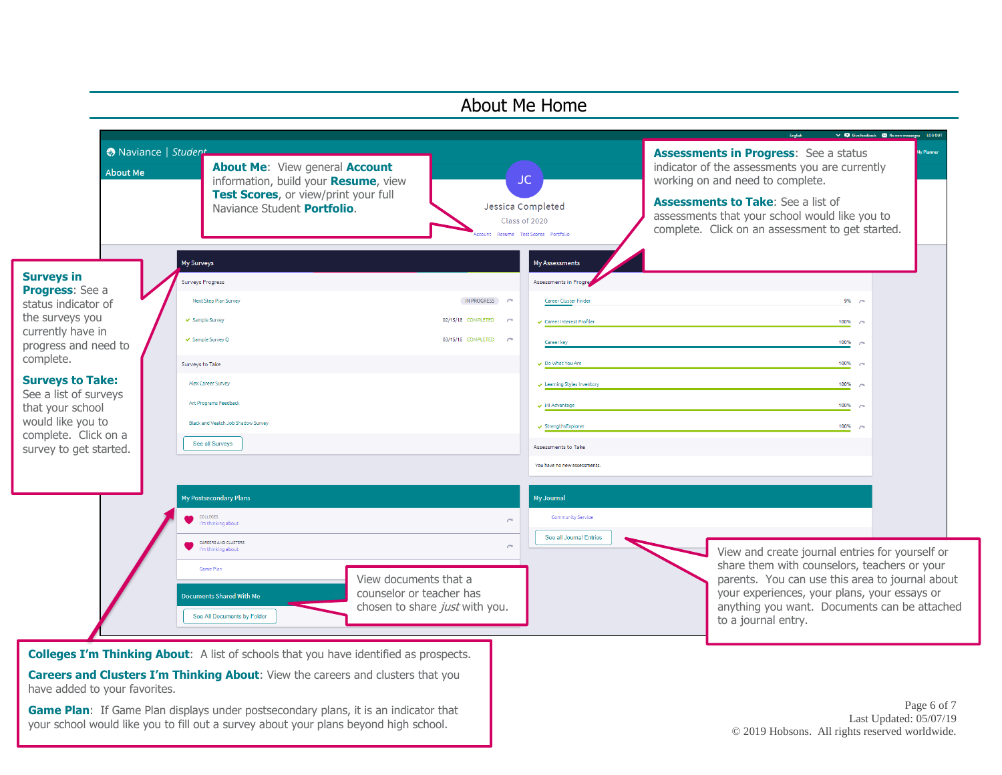

your school would like you to fill out a survey about your plans beyond high school.

Last Updated: 05/07/19 © 2019 Hobsons. All rights reserved worldwide.